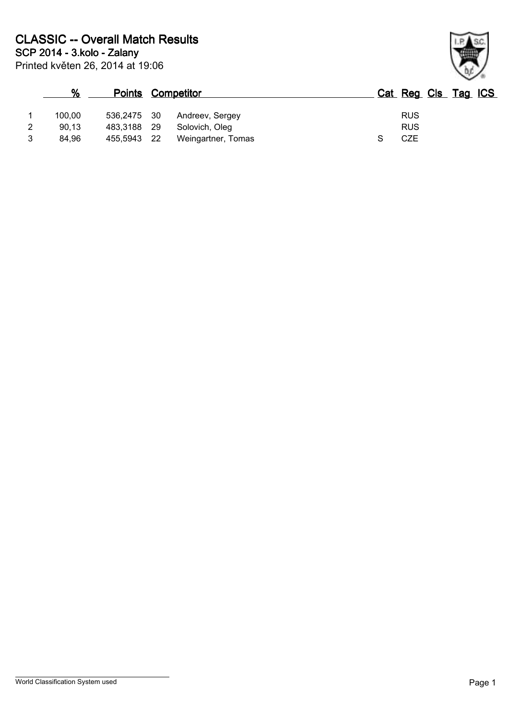|   | $\frac{9}{6}$ | <b>Points</b> |      | Competitor         | Cat Reg Cls Tag ICS |  |  |
|---|---------------|---------------|------|--------------------|---------------------|--|--|
|   | 100.00        | 536,2475 30   |      | Andreev, Sergey    | <b>RUS</b>          |  |  |
| 2 | 90.13         | 483.3188      | - 29 | Solovich, Olea     | <b>RUS</b>          |  |  |
| 2 | 84.96         | 455,5943      | -22  | Weingartner, Tomas | CZE                 |  |  |

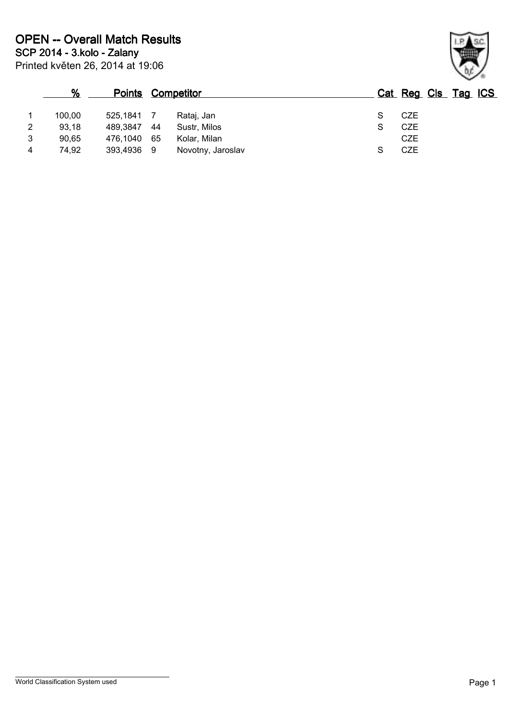|   | %      |            |    | <b>Points Competitor</b> |  | Cat Reg Cls Tag ICS |  |  |
|---|--------|------------|----|--------------------------|--|---------------------|--|--|
|   | 100,00 | 525.1841   |    | Rataj, Jan               |  | CZE                 |  |  |
| 2 | 93.18  | 489.3847   | 44 | Sustr. Milos             |  | <b>CZE</b>          |  |  |
| 3 | 90,65  | 476.1040   | 65 | Kolar, Milan             |  | <b>CZE</b>          |  |  |
| 4 | 74.92  | 393,4936 9 |    | Novotny, Jaroslav        |  | CZE                 |  |  |

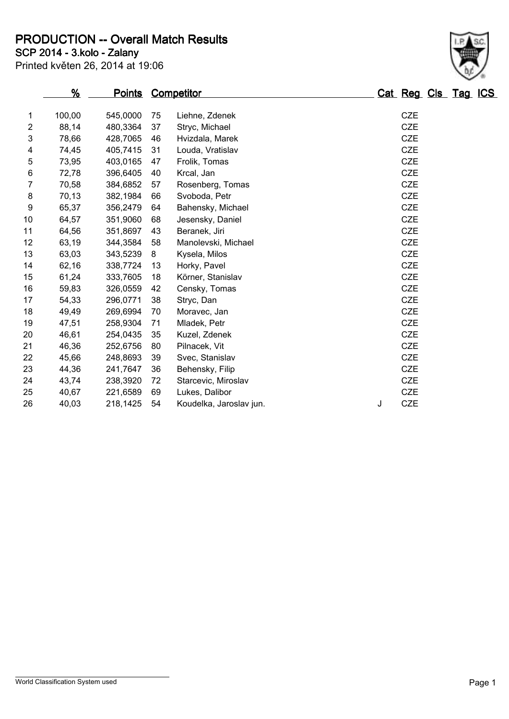**SCP 2014 - 3.kolo - Zalany PRODUCTION -- Overall Match Results**

|  |  |  | Printed květen 26, 2014 at 19:06 |  |
|--|--|--|----------------------------------|--|

|                | %      |          |    | <b>Points Competitor</b> | Cat Reg Cls Tag ICS |
|----------------|--------|----------|----|--------------------------|---------------------|
| 1              | 100,00 | 545,0000 | 75 | Liehne, Zdenek           | <b>CZE</b>          |
| $\overline{2}$ | 88,14  | 480,3364 | 37 | Stryc, Michael           | <b>CZE</b>          |
| 3              | 78,66  | 428,7065 | 46 | Hvizdala, Marek          | <b>CZE</b>          |
| 4              | 74,45  | 405,7415 | 31 | Louda, Vratislav         | <b>CZE</b>          |
| 5              | 73,95  | 403,0165 | 47 | Frolik, Tomas            | <b>CZE</b>          |
| 6              | 72,78  | 396,6405 | 40 | Krcal, Jan               | <b>CZE</b>          |
| 7              | 70,58  | 384,6852 | 57 | Rosenberg, Tomas         | <b>CZE</b>          |
| 8              | 70,13  | 382,1984 | 66 | Svoboda, Petr            | <b>CZE</b>          |
| 9              | 65,37  | 356,2479 | 64 | Bahensky, Michael        | <b>CZE</b>          |
| 10             | 64,57  | 351,9060 | 68 | Jesensky, Daniel         | <b>CZE</b>          |
| 11             | 64,56  | 351,8697 | 43 | Beranek, Jiri            | <b>CZE</b>          |
| 12             | 63,19  | 344,3584 | 58 | Manolevski, Michael      | <b>CZE</b>          |
| 13             | 63,03  | 343,5239 | 8  | Kysela, Milos            | <b>CZE</b>          |
| 14             | 62,16  | 338,7724 | 13 | Horky, Pavel             | <b>CZE</b>          |
| 15             | 61,24  | 333,7605 | 18 | Körner, Stanislav        | <b>CZE</b>          |
| 16             | 59,83  | 326,0559 | 42 | Censky, Tomas            | <b>CZE</b>          |
| 17             | 54,33  | 296,0771 | 38 | Stryc, Dan               | <b>CZE</b>          |
| 18             | 49,49  | 269,6994 | 70 | Moravec, Jan             | <b>CZE</b>          |
| 19             | 47,51  | 258,9304 | 71 | Mladek, Petr             | <b>CZE</b>          |
| 20             | 46,61  | 254,0435 | 35 | Kuzel, Zdenek            | <b>CZE</b>          |
| 21             | 46,36  | 252,6756 | 80 | Pilnacek, Vit            | <b>CZE</b>          |
| 22             | 45,66  | 248,8693 | 39 | Svec, Stanislav          | <b>CZE</b>          |
| 23             | 44,36  | 241,7647 | 36 | Behensky, Filip          | CZE                 |

 43,74 238,3920 72 Starcevic, Miroslav CZE 40,67 221,6589 69 Lukes, Dalibor CZE 26 40,03 218,1425 54 Koudelka, Jaroslav jun. J CZE

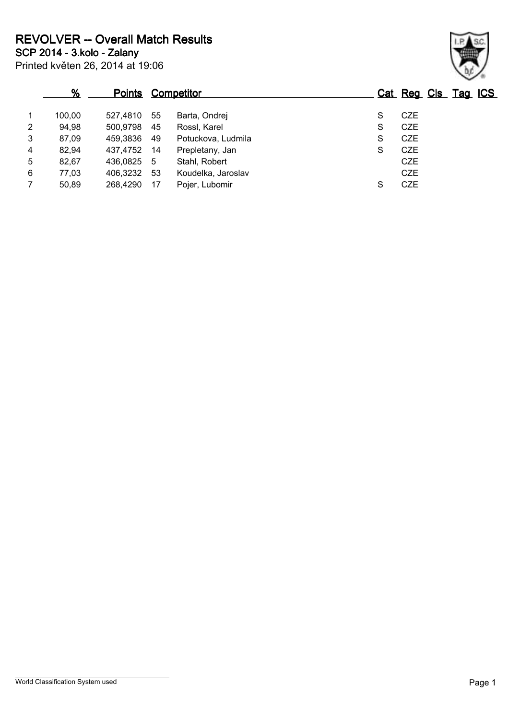**SCP 2014 - 3.kolo - Zalany REVOLVER -- Overall Match Results**

Printed květen 26, 2014 at 19:06

|                | %      | <b>Points</b> |     | <b>Competitor</b>  |   | Cat Reg Cls Tag ICS |  |
|----------------|--------|---------------|-----|--------------------|---|---------------------|--|
|                | 100,00 | 527.4810      | -55 | Barta, Ondrej      | S | <b>CZE</b>          |  |
| $\overline{2}$ | 94,98  | 500,9798      | 45  | Rossl, Karel       | S | <b>CZE</b>          |  |
| 3              | 87,09  | 459,3836      | 49  | Potuckova, Ludmila | S | <b>CZE</b>          |  |
| 4              | 82,94  | 437,4752      | -14 | Prepletany, Jan    | S | <b>CZE</b>          |  |
| 5              | 82,67  | 436,0825 5    |     | Stahl, Robert      |   | <b>CZE</b>          |  |
| 6              | 77,03  | 406,3232      | -53 | Koudelka, Jaroslav |   | <b>CZE</b>          |  |
|                | 50,89  | 268,4290      | -17 | Pojer, Lubomir     | S | <b>CZE</b>          |  |

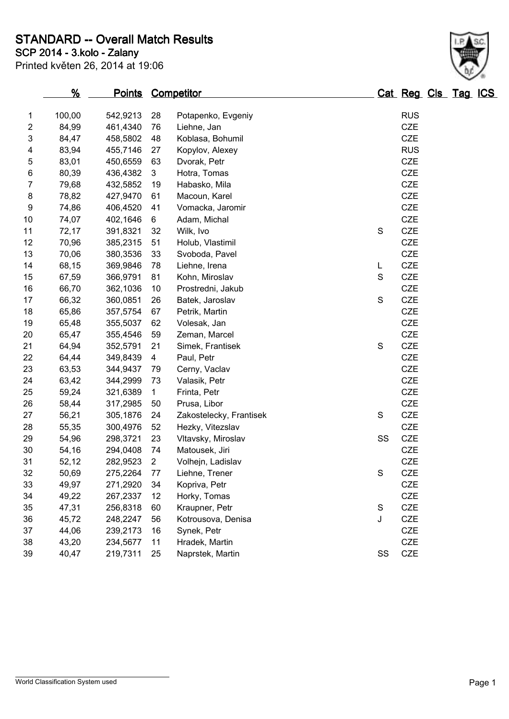**STANDARD -- Overall Match Results**

| Printed květen 26, 2014 at 19:06 |  |  |  |  |
|----------------------------------|--|--|--|--|
|----------------------------------|--|--|--|--|

## **SCP 2014 - 3.kolo - Zalany**

|    | <u>%</u> | <u>Points</u> |                | <b>Competitor</b>       |    | <u>Cat Reg Cls Tag ICS</u> |  |
|----|----------|---------------|----------------|-------------------------|----|----------------------------|--|
| 1  | 100,00   | 542,9213      | 28             | Potapenko, Evgeniy      |    | <b>RUS</b>                 |  |
| 2  | 84,99    | 461,4340      | 76             | Liehne, Jan             |    | <b>CZE</b>                 |  |
| 3  | 84,47    | 458,5802      | 48             | Koblasa, Bohumil        |    | CZE                        |  |
| 4  | 83,94    | 455,7146      | 27             | Kopylov, Alexey         |    | <b>RUS</b>                 |  |
| 5  | 83,01    | 450,6559      | 63             | Dvorak, Petr            |    | CZE                        |  |
| 6  | 80,39    | 436,4382      | 3              | Hotra, Tomas            |    | CZE                        |  |
| 7  | 79,68    | 432,5852      | 19             | Habasko, Mila           |    | CZE                        |  |
| 8  | 78,82    | 427,9470      | 61             | Macoun, Karel           |    | CZE                        |  |
| 9  | 74,86    | 406,4520      | 41             | Vomacka, Jaromir        |    | CZE                        |  |
| 10 | 74,07    | 402,1646      | 6              | Adam, Michal            |    | <b>CZE</b>                 |  |
| 11 | 72,17    | 391,8321      | 32             | Wilk, Ivo               | S  | CZE                        |  |
| 12 | 70,96    | 385,2315      | 51             | Holub, Vlastimil        |    | CZE                        |  |
| 13 | 70,06    | 380,3536      | 33             | Svoboda, Pavel          |    | CZE                        |  |
| 14 | 68,15    | 369,9846      | 78             | Liehne, Irena           | L  | CZE                        |  |
| 15 | 67,59    | 366,9791      | 81             | Kohn, Miroslav          | S  | CZE                        |  |
| 16 | 66,70    | 362,1036      | 10             | Prostredni, Jakub       |    | CZE                        |  |
| 17 | 66,32    | 360,0851      | 26             | Batek, Jaroslav         | S  | <b>CZE</b>                 |  |
| 18 | 65,86    | 357,5754      | 67             | Petrik, Martin          |    | CZE                        |  |
| 19 | 65,48    | 355,5037      | 62             | Volesak, Jan            |    | CZE                        |  |
| 20 | 65,47    | 355,4546      | 59             | Zeman, Marcel           |    | CZE                        |  |
| 21 | 64,94    | 352,5791      | 21             | Simek, Frantisek        | S  | CZE                        |  |
| 22 | 64,44    | 349,8439      | 4              | Paul, Petr              |    | CZE                        |  |
| 23 | 63,53    | 344,9437      | 79             | Cerny, Vaclav           |    | CZE                        |  |
| 24 | 63,42    | 344,2999      | 73             | Valasik, Petr           |    | CZE                        |  |
| 25 | 59,24    | 321,6389      | $\mathbf{1}$   | Frinta, Petr            |    | CZE                        |  |
| 26 | 58,44    | 317,2985      | 50             | Prusa, Libor            |    | <b>CZE</b>                 |  |
| 27 | 56,21    | 305,1876      | 24             | Zakostelecky, Frantisek | S  | CZE                        |  |
| 28 | 55,35    | 300,4976      | 52             | Hezky, Vitezslav        |    | CZE                        |  |
| 29 | 54,96    | 298,3721      | 23             | Vltavsky, Miroslav      | SS | <b>CZE</b>                 |  |
| 30 | 54,16    | 294,0408      | 74             | Matousek, Jiri          |    | <b>CZE</b>                 |  |
| 31 | 52,12    | 282,9523      | $\overline{2}$ | Volhejn, Ladislav       |    | <b>CZE</b>                 |  |
| 32 | 50,69    | 275,2264      | 77             | Liehne, Trener          | S  | <b>CZE</b>                 |  |
| 33 | 49,97    | 271,2920      | 34             | Kopriva, Petr           |    | <b>CZE</b>                 |  |
| 34 | 49,22    | 267,2337      | 12             | Horky, Tomas            |    | <b>CZE</b>                 |  |
| 35 | 47,31    | 256,8318      | 60             | Kraupner, Petr          | S  | <b>CZE</b>                 |  |
| 36 | 45,72    | 248,2247      | 56             | Kotrousova, Denisa      | J  | CZE                        |  |
| 37 | 44,06    | 239,2173      | 16             | Synek, Petr             |    | <b>CZE</b>                 |  |
| 38 | 43,20    | 234,5677      | 11             | Hradek, Martin          |    | <b>CZE</b>                 |  |
| 39 | 40,47    | 219,7311      | 25             | Naprstek, Martin        | SS | CZE                        |  |
|    |          |               |                |                         |    |                            |  |